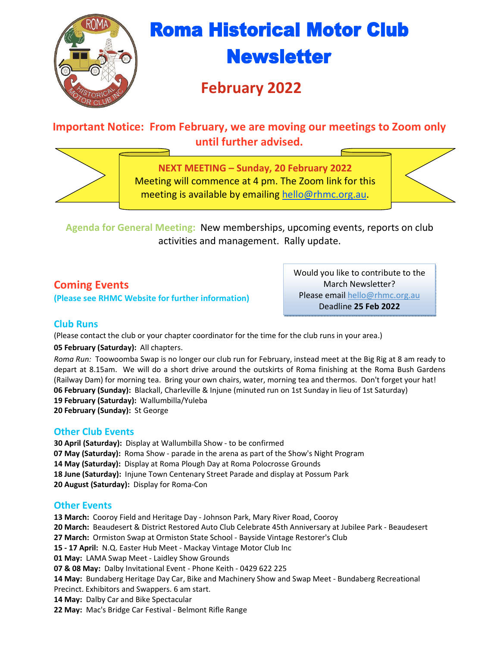

# **Roma Historical Motor Club Newsletter**

# **February 2022**

### **Important Notice: From February, we are moving our meetings to Zoom only until further advised.**



**NEXT MEETING – Sunday, 20 February 2022**  Meeting will commence at 4 pm. The Zoom link for this meeting is available by emailing hello@rhmc.org.au.

**Agenda for General Meeting:** New memberships, upcoming events, reports on club activities and management. Rally update.

### **Coming Events**

**(Please see RHMC Website for further information)** 

Would you like to contribute to the March Newsletter? Please email hello@rhmc.org.au Deadline **25 Feb 2022**

#### **Club Runs**

(Please contact the club or your chapter coordinator for the time for the club runs in your area.)

#### **05 February (Saturday):** All chapters.

*Roma Run:* Toowoomba Swap is no longer our club run for February, instead meet at the Big Rig at 8 am ready to depart at 8.15am. We will do a short drive around the outskirts of Roma finishing at the Roma Bush Gardens (Railway Dam) for morning tea. Bring your own chairs, water, morning tea and thermos. Don't forget your hat! **06 February (Sunday):** Blackall, Charleville & Injune (minuted run on 1st Sunday in lieu of 1st Saturday) **19 February (Saturday):** Wallumbilla/Yuleba

**20 February (Sunday):** St George

#### **Other Club Events**

**30 April (Saturday):** Display at Wallumbilla Show - to be confirmed **07 May (Saturday):** Roma Show - parade in the arena as part of the Show's Night Program **14 May (Saturday):** Display at Roma Plough Day at Roma Polocrosse Grounds **18 June (Saturday):** Injune Town Centenary Street Parade and display at Possum Park **20 August (Saturday):** Display for Roma-Con

#### **Other Events**

**13 March:** Cooroy Field and Heritage Day - Johnson Park, Mary River Road, Cooroy

**20 March:** Beaudesert & District Restored Auto Club Celebrate 45th Anniversary at Jubilee Park - Beaudesert

**27 March:** Ormiston Swap at Ormiston State School - Bayside Vintage Restorer's Club

**15 - 17 April:** N.Q. Easter Hub Meet - Mackay Vintage Motor Club Inc

**01 May:** LAMA Swap Meet - Laidley Show Grounds

**07 & 08 May:** Dalby Invitational Event - Phone Keith - 0429 622 225

**14 May:** Bundaberg Heritage Day Car, Bike and Machinery Show and Swap Meet - Bundaberg Recreational

- Precinct. Exhibitors and Swappers. 6 am start.
- **14 May:** Dalby Car and Bike Spectacular
- **22 May:** Mac's Bridge Car Festival Belmont Rifle Range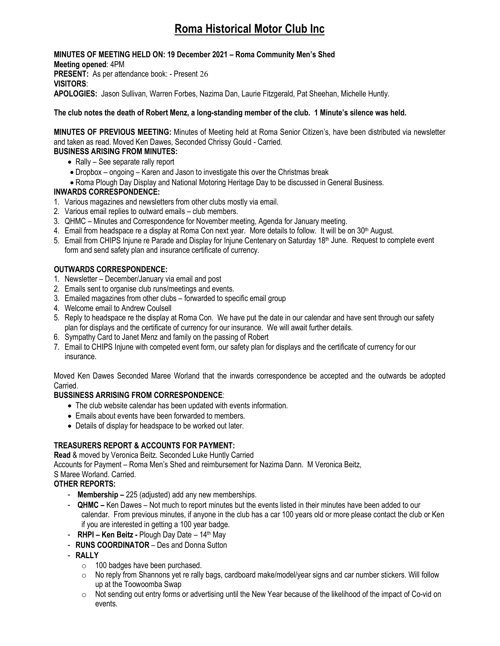## **Roma Historical Motor Club Inc**

**MINUTES OF MEETING HELD ON: 19 December 2021 – Roma Community Men's Shed Meeting opened**: 4PM **PRESENT:** As per attendance book: - Present 26 **VISITORS**: **APOLOGIES:** Jason Sullivan, Warren Forbes, Nazima Dan, Laurie Fitzgerald, Pat Sheehan, Michelle Huntly.

#### **The club notes the death of Robert Menz, a long-standing member of the club. 1 Minute's silence was held.**

**MINUTES OF PREVIOUS MEETING:** Minutes of Meeting held at Roma Senior Citizen's, have been distributed via newsletter and taken as read. Moved Ken Dawes, Seconded Chrissy Gould - Carried.

#### **BUSINESS ARISING FROM MINUTES:**

- $\bullet$  Rally See separate rally report
- Dropbox ongoing Karen and Jason to investigate this over the Christmas break
- Roma Plough Day Display and National Motoring Heritage Day to be discussed in General Business.

#### **INWARDS CORRESPONDENCE:**

- 1. Various magazines and newsletters from other clubs mostly via email.
- 2. Various email replies to outward emails club members.
- 3. QHMC Minutes and Correspondence for November meeting, Agenda for January meeting.
- 4. Email from headspace re a display at Roma Con next year. More details to follow. It will be on 30<sup>th</sup> August.
- 5. Email from CHIPS Injune re Parade and Display for Injune Centenary on Saturday 18th June. Request to complete event form and send safety plan and insurance certificate of currency.

#### **OUTWARDS CORRESPONDENCE:**

- 1. Newsletter December/January via email and post
- 2. Emails sent to organise club runs/meetings and events.
- 3. Emailed magazines from other clubs forwarded to specific email group
- 4. Welcome email to Andrew Coulsell
- 5. Reply to headspace re the display at Roma Con. We have put the date in our calendar and have sent through our safety plan for displays and the certificate of currency for our insurance. We will await further details.
- 6. Sympathy Card to Janet Menz and family on the passing of Robert
- 7. Email to CHIPS Injune with competed event form, our safety plan for displays and the certificate of currency for our insurance.

Moved Ken Dawes Seconded Maree Worland that the inwards correspondence be accepted and the outwards be adopted Carried.

#### **BUSSINESS ARRISING FROM CORRESPONDENCE**:

- The club website calendar has been updated with events information.
- Emails about events have been forwarded to members.
- Details of display for headspace to be worked out later.

#### **TREASURERS REPORT & ACCOUNTS FOR PAYMENT:**

**Read** & moved by Veronica Beitz. Seconded Luke Huntly Carried

Accounts for Payment – Roma Men's Shed and reimbursement for Nazima Dann. M Veronica Beitz,

#### S Maree Worland. Carried.

#### **OTHER REPORTS:**

- **Membership –** 225 (adjusted) add any new memberships.
- **QHMC –** Ken Dawes Not much to report minutes but the events listed in their minutes have been added to our calendar. From previous minutes, if anyone in the club has a car 100 years old or more please contact the club or Ken if you are interested in getting a 100 year badge.
- - **RHPI Ken Beitz** Plough Day Date 14th May
- **RUNS COORDINATOR**  Des and Donna Sutton
- **RALLY** 
	- o 100 badges have been purchased.
	- $\circ$  No reply from Shannons yet re rally bags, cardboard make/model/year signs and car number stickers. Will follow up at the Toowoomba Swap
	- $\circ$  Not sending out entry forms or advertising until the New Year because of the likelihood of the impact of Co-vid on events.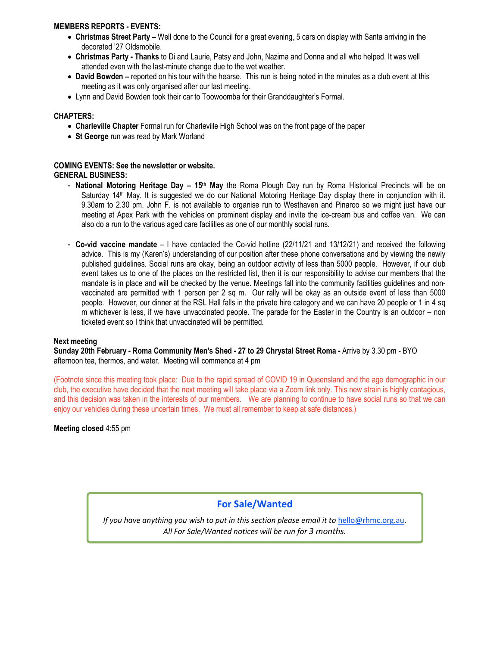#### **MEMBERS REPORTS - EVENTS:**

- **Christmas Street Party** Well done to the Council for a great evening, 5 cars on display with Santa arriving in the decorated '27 Oldsmobile.
- **Christmas Party Thanks** to Di and Laurie, Patsy and John, Nazima and Donna and all who helped. It was well attended even with the last-minute change due to the wet weather.
- **David Bowden** reported on his tour with the hearse. This run is being noted in the minutes as a club event at this meeting as it was only organised after our last meeting.
- Lynn and David Bowden took their car to Toowoomba for their Granddaughter's Formal.

#### **CHAPTERS:**

- **Charleville Chapter** Formal run for Charleville High School was on the front page of the paper
- **St George** run was read by Mark Worland

#### **COMING EVENTS: See the newsletter or website. GENERAL BUSINESS:**

- **National Motoring Heritage Day 15th May** the Roma Plough Day run by Roma Historical Precincts will be on Saturday 14<sup>th</sup> May. It is suggested we do our National Motoring Heritage Day display there in conjunction with it. 9.30am to 2.30 pm. John F. is not available to organise run to Westhaven and Pinaroo so we might just have our meeting at Apex Park with the vehicles on prominent display and invite the ice-cream bus and coffee van. We can also do a run to the various aged care facilities as one of our monthly social runs.
- **Co-vid vaccine mandate**  I have contacted the Co-vid hotline (22/11/21 and 13/12/21) and received the following advice. This is my (Karen's) understanding of our position after these phone conversations and by viewing the newly published guidelines. Social runs are okay, being an outdoor activity of less than 5000 people. However, if our club event takes us to one of the places on the restricted list, then it is our responsibility to advise our members that the mandate is in place and will be checked by the venue. Meetings fall into the community facilities guidelines and nonvaccinated are permitted with 1 person per 2 sq m. Our rally will be okay as an outside event of less than 5000 people. However, our dinner at the RSL Hall falls in the private hire category and we can have 20 people or 1 in 4 sq m whichever is less, if we have unvaccinated people. The parade for the Easter in the Country is an outdoor – non ticketed event so I think that unvaccinated will be permitted.

#### **Next meeting**

**Sunday 20th February - Roma Community Men's Shed - 27 to 29 Chrystal Street Roma -** Arrive by 3.30 pm - BYO afternoon tea, thermos, and water. Meeting will commence at 4 pm

(Footnote since this meeting took place: Due to the rapid spread of COVID 19 in Queensland and the age demographic in our club, the executive have decided that the next meeting will take place via a Zoom link only. This new strain is highly contagious, and this decision was taken in the interests of our members. We are planning to continue to have social runs so that we can enjoy our vehicles during these uncertain times. We must all remember to keep at safe distances.)

**Meeting closed** 4:55 pm

#### **For Sale/Wanted**

If you have anything you wish to put in this section please email it to hello@rhmc.org.au. *All For Sale/Wanted notices will be run for 3 months.*